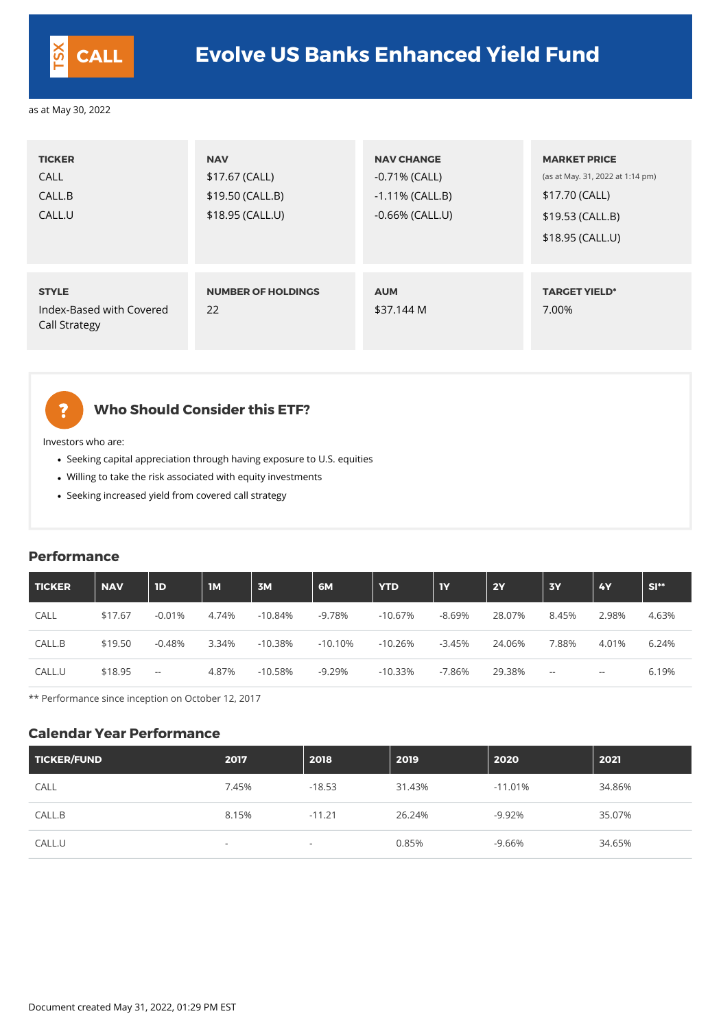| <b>TICKER</b><br><b>CALL</b><br>CALL.B<br>CALL.U                 | <b>NAV</b><br>\$17.67 (CALL)<br>\$19.50 (CALL.B)<br>\$18.95 (CALL.U) | <b>NAV CHANGE</b><br>$-0.71\%$ (CALL)<br>$-1.11\%$ (CALL.B)<br>$-0.66\%$ (CALL.U) | <b>MARKET PRICE</b><br>(as at May. 31, 2022 at 1:14 pm)<br>\$17.70 (CALL)<br>$$19.53$ (CALL.B)<br>\$18.95 (CALL.U) |
|------------------------------------------------------------------|----------------------------------------------------------------------|-----------------------------------------------------------------------------------|--------------------------------------------------------------------------------------------------------------------|
| <b>STYLE</b><br>Index-Based with Covered<br><b>Call Strategy</b> | <b>NUMBER OF HOLDINGS</b><br>22                                      | <b>AUM</b><br>\$37.144 M                                                          | <b>TARGET YIELD*</b><br>7.00%                                                                                      |

## **Who Should Consider this ETF?**

Investors who are:

 $\ddot{\mathbf{?}}$ 

- Seeking capital appreciation through having exposure to U.S. equities
- Willing to take the risk associated with equity investments
- Seeking increased yield from covered call strategy

#### **Performance**

| <b>TICKER</b> | <b>NAV</b> | 1D       | <b>IM</b> | 3M        | 6M         | <b>YTD</b> | <b>IY</b> | <b>2Y</b> | <b>3Y</b> | <b>4Y</b> | $SI**$ |
|---------------|------------|----------|-----------|-----------|------------|------------|-----------|-----------|-----------|-----------|--------|
| <b>CALL</b>   | \$17.67    | $-0.01%$ | 4.74%     | $-10.84%$ | -9.78%     | $-10.67\%$ | $-8.69%$  | 28.07%    | 8.45%     | 2.98%     | 4.63%  |
| CALL.B        | \$19.50    | $-0.48%$ | 3.34%     | $-10.38%$ | $-10.10\%$ | $-10.26%$  | $-3.45%$  | 24.06%    | 7.88%     | 4.01%     | 6.24%  |
| CALL.U        | \$18.95    | $- \, -$ | 4.87%     | $-10.58%$ | $-9.29%$   | $-10.33%$  | $-7.86%$  | 29.38%    | $- -$     | $- -$     | 6.19%  |

\*\* Performance since inception on October 12, 2017

#### **Calendar Year Performance**

| <b>TICKER/FUND</b> | 2017                     | 2018                     | 2019   | 2020      | 2021   |
|--------------------|--------------------------|--------------------------|--------|-----------|--------|
| <b>CALL</b>        | 7.45%                    | $-18.53$                 | 31.43% | $-11.01%$ | 34.86% |
| CALL.B             | 8.15%                    | $-11.21$                 | 26.24% | $-9.92%$  | 35.07% |
| CALL.U             | $\overline{\phantom{0}}$ | $\overline{\phantom{a}}$ | 0.85%  | -9.66%    | 34.65% |



# **CALL Evolve US Banks Enhanced Yield Fund**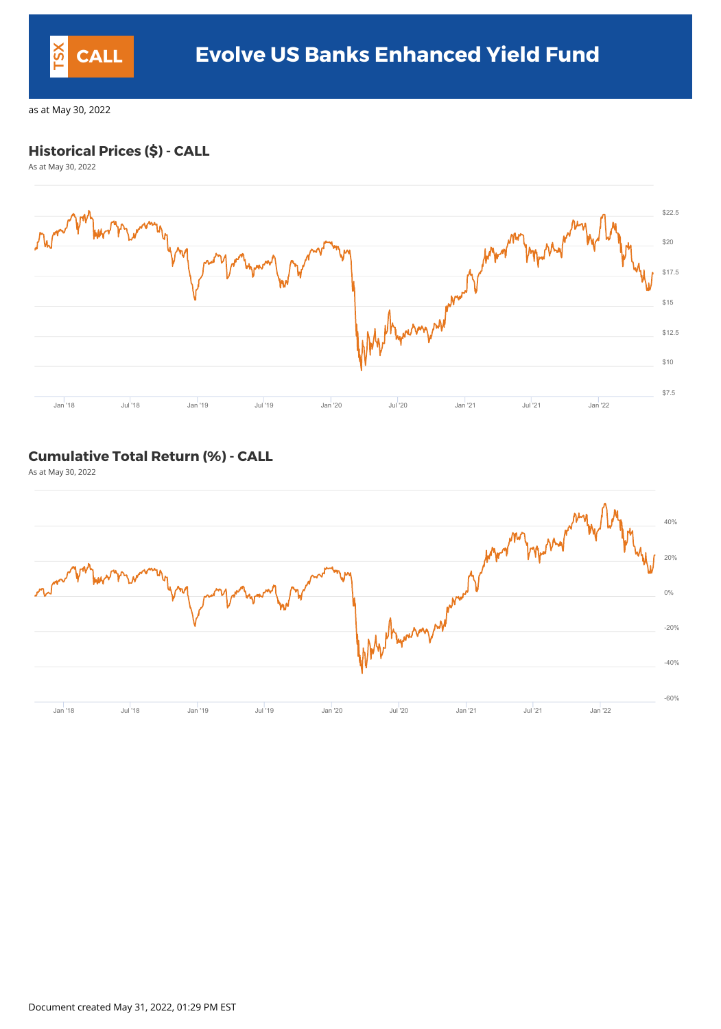### **Historical Prices (\$) - CALL**

As at May 30, 2022



#### **Cumulative Total Return (%) - CALL**

As at May 30, 2022



Document created May 31, 2022, 01:29 PM EST

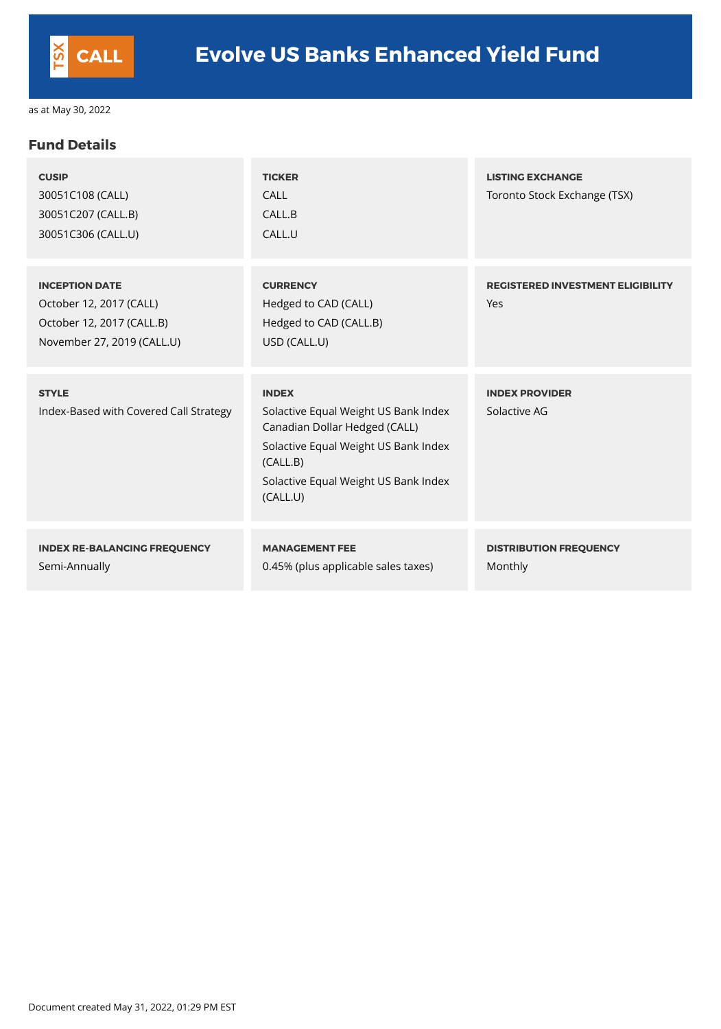#### **Fund Details**

| <b>CUSIP</b><br>30051C108 (CALL)<br>30051C207 (CALL.B)<br>30051C306 (CALL.U)                                | <b>TICKER</b><br><b>CALL</b><br>CALL.B<br>CALL.U                                                                                                                                              | <b>LISTING EXCHANGE</b><br>Toronto Stock Exchange (TSX) |
|-------------------------------------------------------------------------------------------------------------|-----------------------------------------------------------------------------------------------------------------------------------------------------------------------------------------------|---------------------------------------------------------|
| <b>INCEPTION DATE</b><br>October 12, 2017 (CALL)<br>October 12, 2017 (CALL.B)<br>November 27, 2019 (CALL.U) | <b>CURRENCY</b><br>Hedged to CAD (CALL)<br>Hedged to CAD (CALL.B)<br>USD (CALL.U)                                                                                                             | <b>REGISTERED INVESTMENT ELIGIBILITY</b><br>Yes         |
| <b>STYLE</b><br>Index-Based with Covered Call Strategy                                                      | <b>INDEX</b><br>Solactive Equal Weight US Bank Index<br>Canadian Dollar Hedged (CALL)<br>Solactive Equal Weight US Bank Index<br>(CALL.B)<br>Solactive Equal Weight US Bank Index<br>(CALL.U) | <b>INDEX PROVIDER</b><br>Solactive AG                   |
| <b>INDEX RE-BALANCING FREQUENCY</b><br>Semi-Annually                                                        | <b>MANAGEMENT FEE</b><br>0.45% (plus applicable sales taxes)                                                                                                                                  | <b>DISTRIBUTION FREQUENCY</b><br><b>Monthly</b>         |

Document created May 31, 2022, 01:29 PM EST

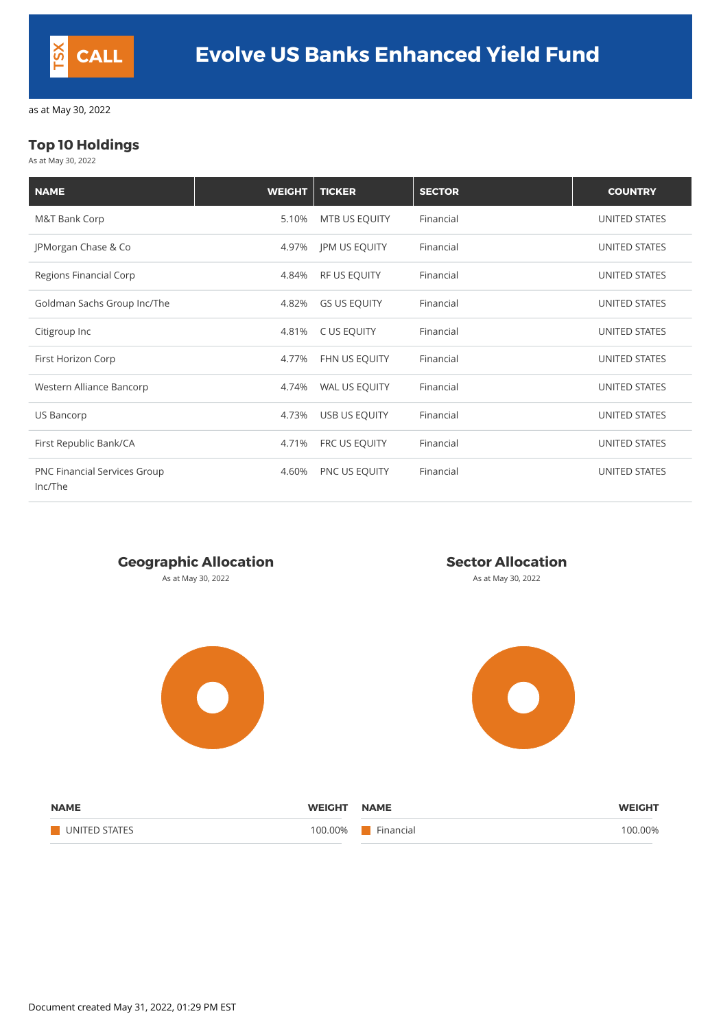### **Top 10 Holdings**

As at May 30, 2022

| <b>NAME</b>                                    | <b>WEIGHT</b> | <b>TICKER</b>        | <b>SECTOR</b> | <b>COUNTRY</b>       |
|------------------------------------------------|---------------|----------------------|---------------|----------------------|
| <b>M&amp;T Bank Corp</b>                       | 5.10%         | MTB US EQUITY        | Financial     | <b>UNITED STATES</b> |
| JPMorgan Chase & Co                            | 4.97%         | <b>JPM US EQUITY</b> | Financial     | <b>UNITED STATES</b> |
| <b>Regions Financial Corp</b>                  | 4.84%         | <b>RF US EQUITY</b>  | Financial     | <b>UNITED STATES</b> |
| Goldman Sachs Group Inc/The                    | 4.82%         | <b>GS US EQUITY</b>  | Financial     | <b>UNITED STATES</b> |
| Citigroup Inc                                  | 4.81%         | C US EQUITY          | Financial     | <b>UNITED STATES</b> |
| First Horizon Corp                             | 4.77%         | FHN US EQUITY        | Financial     | <b>UNITED STATES</b> |
| Western Alliance Bancorp                       | 4.74%         | WAL US EQUITY        | Financial     | <b>UNITED STATES</b> |
| <b>US Bancorp</b>                              | 4.73%         | USB US EQUITY        | Financial     | <b>UNITED STATES</b> |
| First Republic Bank/CA                         | 4.71%         | FRC US EQUITY        | Financial     | <b>UNITED STATES</b> |
| <b>PNC Financial Services Group</b><br>Inc/The | 4.60%         | PNC US EQUITY        | Financial     | <b>UNITED STATES</b> |

#### **Geographic Allocation Sector Allocation**

As at May 30, 2022 **As at May 30, 2022** As at May 30, 2022